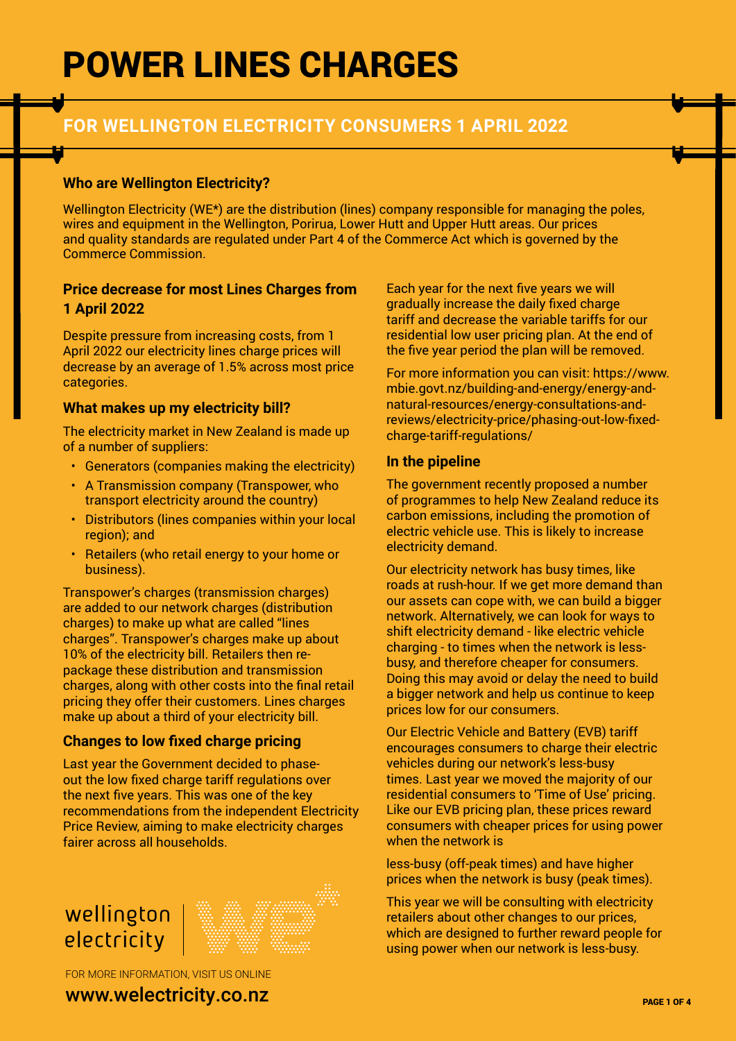## **FOR WELLINGTON ELECTRICITY CONSUMERS 1 APRIL 2022**

#### **Who are Wellington Electricity?**

Wellington Electricity (WE\*) are the distribution (lines) company responsible for managing the poles, wires and equipment in the Wellington, Porirua, Lower Hutt and Upper Hutt areas. Our prices and quality standards are regulated under Part 4 of the Commerce Act which is governed by the Commerce Commission.

#### **Price decrease for most Lines Charges from 1 April 2022**

Despite pressure from increasing costs, from 1 April 2022 our electricity lines charge prices will decrease by an average of 1.5% across most price categories.

#### **What makes up my electricity bill?**

The electricity market in New Zealand is made up of a number of suppliers:

- Generators (companies making the electricity)
- A Transmission company (Transpower, who transport electricity around the country)
- Distributors (lines companies within your local region); and
- Retailers (who retail energy to your home or business).

Transpower's charges (transmission charges) are added to our network charges (distribution charges) to make up what are called "lines charges". Transpower's charges make up about 10% of the electricity bill. Retailers then repackage these distribution and transmission charges, along with other costs into the final retail pricing they offer their customers. Lines charges make up about a third of your electricity bill.

### **Changes to low fixed charge pricing**

Last year the Government decided to phaseout the low fixed charge tariff regulations over the next five years. This was one of the key recommendations from the independent Electricity Price Review, aiming to make electricity charges fairer across all households.



FOR MORE INFORMATION, VISIT US ONLINE

www.welectricity.co.nz

Each year for the next five years we will gradually increase the daily fixed charge tariff and decrease the variable tariffs for our residential low user pricing plan. At the end of the five year period the plan will be removed.

For more information you can visit: https://www. mbie.govt.nz/building-and-energy/energy-andnatural-resources/energy-consultations-andreviews/electricity-price/phasing-out-low-fixedcharge-tariff-regulations/

#### **In the pipeline**

The government recently proposed a number of programmes to help New Zealand reduce its carbon emissions, including the promotion of electric vehicle use. This is likely to increase electricity demand.

Our electricity network has busy times, like roads at rush-hour. If we get more demand than our assets can cope with, we can build a bigger network. Alternatively, we can look for ways to shift electricity demand - like electric vehicle charging - to times when the network is lessbusy, and therefore cheaper for consumers. Doing this may avoid or delay the need to build a bigger network and help us continue to keep prices low for our consumers.

Our Electric Vehicle and Battery (EVB) tariff encourages consumers to charge their electric vehicles during our network's less-busy times. Last year we moved the majority of our residential consumers to 'Time of Use' pricing. Like our EVB pricing plan, these prices reward consumers with cheaper prices for using power when the network is

less-busy (off-peak times) and have higher prices when the network is busy (peak times).

This year we will be consulting with electricity retailers about other changes to our prices, which are designed to further reward people for using power when our network is less-busy.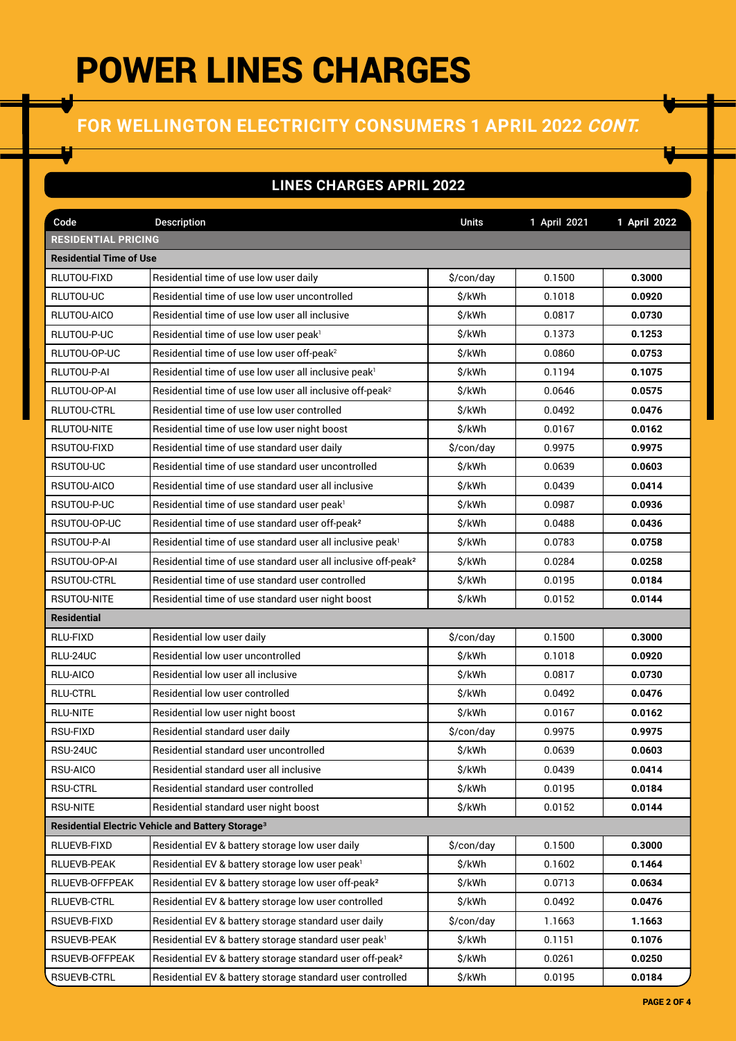## **FOR WELLINGTON ELECTRICITY CONSUMERS 1 APRIL 2022 CONT.**

### **LINES CHARGES APRIL 2022**

| Code                                                          | <b>Description</b>                                                        | <b>Units</b> | 1 April 2021 | 1 April 2022 |  |  |  |
|---------------------------------------------------------------|---------------------------------------------------------------------------|--------------|--------------|--------------|--|--|--|
| <b>RESIDENTIAL PRICING</b>                                    |                                                                           |              |              |              |  |  |  |
| <b>Residential Time of Use</b>                                |                                                                           |              |              |              |  |  |  |
| RLUTOU-FIXD                                                   | Residential time of use low user daily                                    | \$/con/day   | 0.1500       | 0.3000       |  |  |  |
| RLUTOU-UC                                                     | Residential time of use low user uncontrolled                             | \$/kWh       | 0.1018       | 0.0920       |  |  |  |
| RLUTOU-AICO                                                   | Residential time of use low user all inclusive                            | \$/kWh       | 0.0817       | 0.0730       |  |  |  |
| RLUTOU-P-UC                                                   | Residential time of use low user peak <sup>1</sup>                        | \$/kWh       | 0.1373       | 0.1253       |  |  |  |
| RLUTOU-OP-UC                                                  | Residential time of use low user off-peak <sup>2</sup>                    | \$/kWh       | 0.0860       | 0.0753       |  |  |  |
| RLUTOU-P-AI                                                   | Residential time of use low user all inclusive peak <sup>1</sup>          | \$/kWh       | 0.1194       | 0.1075       |  |  |  |
| RLUTOU-OP-AI                                                  | Residential time of use low user all inclusive off-peak <sup>2</sup>      | \$/kWh       | 0.0646       | 0.0575       |  |  |  |
| RLUTOU-CTRL                                                   | Residential time of use low user controlled                               | \$/kWh       | 0.0492       | 0.0476       |  |  |  |
| <b>RLUTOU-NITE</b>                                            | Residential time of use low user night boost                              | \$/kWh       | 0.0167       | 0.0162       |  |  |  |
| RSUTOU-FIXD                                                   | Residential time of use standard user daily                               | \$/con/day   | 0.9975       | 0.9975       |  |  |  |
| RSUTOU-UC                                                     | Residential time of use standard user uncontrolled                        | \$/kWh       | 0.0639       | 0.0603       |  |  |  |
| RSUTOU-AICO                                                   | Residential time of use standard user all inclusive                       | \$/kWh       | 0.0439       | 0.0414       |  |  |  |
| RSUTOU-P-UC                                                   | Residential time of use standard user peak <sup>1</sup>                   | \$/kWh       | 0.0987       | 0.0936       |  |  |  |
| RSUTOU-OP-UC                                                  | Residential time of use standard user off-peak <sup>2</sup>               | \$/kWh       | 0.0488       | 0.0436       |  |  |  |
| RSUTOU-P-AI                                                   | Residential time of use standard user all inclusive peak <sup>1</sup>     | \$/kWh       | 0.0783       | 0.0758       |  |  |  |
| RSUTOU-OP-AI                                                  | Residential time of use standard user all inclusive off-peak <sup>2</sup> | \$/kWh       | 0.0284       | 0.0258       |  |  |  |
| RSUTOU-CTRL                                                   | Residential time of use standard user controlled                          | \$/kWh       | 0.0195       | 0.0184       |  |  |  |
| RSUTOU-NITE                                                   | Residential time of use standard user night boost                         | \$/kWh       | 0.0152       | 0.0144       |  |  |  |
| <b>Residential</b>                                            |                                                                           |              |              |              |  |  |  |
| RLU-FIXD                                                      | Residential low user daily                                                | \$/con/day   | 0.1500       | 0.3000       |  |  |  |
| RLU-24UC                                                      | Residential low user uncontrolled                                         | \$/kWh       | 0.1018       | 0.0920       |  |  |  |
| RLU-AICO                                                      | Residential low user all inclusive                                        | \$/kWh       | 0.0817       | 0.0730       |  |  |  |
| <b>RLU-CTRL</b>                                               | Residential low user controlled                                           | \$/kWh       | 0.0492       | 0.0476       |  |  |  |
| <b>RLU-NITE</b>                                               | Residential low user night boost                                          | \$/kWh       | 0.0167       | 0.0162       |  |  |  |
| <b>RSU-FIXD</b>                                               | Residential standard user daily                                           | \$/con/day   | 0.9975       | 0.9975       |  |  |  |
| RSU-24UC                                                      | Residential standard user uncontrolled                                    | \$/kWh       | 0.0639       | 0.0603       |  |  |  |
| RSU-AICO                                                      | Residential standard user all inclusive                                   | \$/kWh       | 0.0439       | 0.0414       |  |  |  |
| <b>RSU-CTRL</b>                                               | Residential standard user controlled                                      | \$/kWh       | 0.0195       | 0.0184       |  |  |  |
| <b>RSU-NITE</b>                                               | Residential standard user night boost                                     | \$/kWh       | 0.0152       | 0.0144       |  |  |  |
| Residential Electric Vehicle and Battery Storage <sup>3</sup> |                                                                           |              |              |              |  |  |  |
| RLUEVB-FIXD                                                   | Residential EV & battery storage low user daily                           | \$/con/day   | 0.1500       | 0.3000       |  |  |  |
| RLUEVB-PEAK                                                   | Residential EV & battery storage low user peak <sup>1</sup>               | \$/kWh       | 0.1602       | 0.1464       |  |  |  |
| RLUEVB-OFFPEAK                                                | Residential EV & battery storage low user off-peak <sup>2</sup>           | \$/kWh       | 0.0713       | 0.0634       |  |  |  |
| RLUEVB-CTRL                                                   | Residential EV & battery storage low user controlled                      | \$/kWh       | 0.0492       | 0.0476       |  |  |  |
| RSUEVB-FIXD                                                   | Residential EV & battery storage standard user daily                      | \$/con/day   | 1.1663       | 1.1663       |  |  |  |
| RSUEVB-PEAK                                                   | Residential EV & battery storage standard user peak <sup>1</sup>          | \$/kWh       | 0.1151       | 0.1076       |  |  |  |
| RSUEVB-OFFPEAK                                                | Residential EV & battery storage standard user off-peak <sup>2</sup>      | \$/kWh       | 0.0261       | 0.0250       |  |  |  |
| <b>RSUEVB-CTRL</b>                                            | Residential EV & battery storage standard user controlled                 | \$/kWh       | 0.0195       | 0.0184       |  |  |  |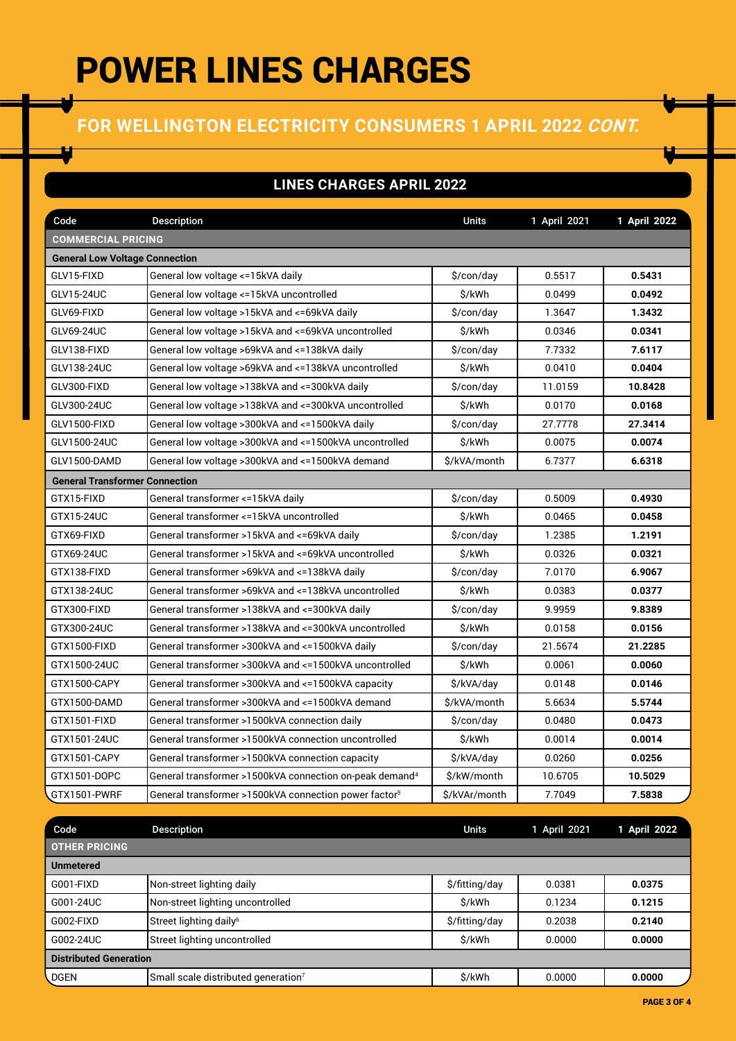## **FOR WELLINGTON ELECTRICITY CONSUMERS 1 APRIL 2022 CONT.**

### **LINES CHARGES APRIL 2022**

| Code                                  | Description                                                         | <b>Units</b>  | 1 April 2021 | 1 April 2022 |  |  |  |
|---------------------------------------|---------------------------------------------------------------------|---------------|--------------|--------------|--|--|--|
| <b>COMMERCIAL PRICING</b>             |                                                                     |               |              |              |  |  |  |
| <b>General Low Voltage Connection</b> |                                                                     |               |              |              |  |  |  |
| GLV15-FIXD                            | General low voltage <= 15kVA daily                                  | \$/con/day    | 0.5517       | 0.5431       |  |  |  |
| GLV15-24UC                            | General low voltage <=15kVA uncontrolled                            | \$/kWh        | 0.0499       | 0.0492       |  |  |  |
| GLV69-FIXD                            | General low voltage >15kVA and <=69kVA daily                        | \$/con/day    | 1.3647       | 1.3432       |  |  |  |
| GLV69-24UC                            | General low voltage >15kVA and <= 69kVA uncontrolled                | \$/kWh        | 0.0346       | 0.0341       |  |  |  |
| GLV138-FIXD                           | General low voltage >69kVA and <=138kVA daily                       | \$/con/day    | 7.7332       | 7.6117       |  |  |  |
| GLV138-24UC                           | General low voltage >69kVA and <=138kVA uncontrolled                | \$/kWh        | 0.0410       | 0.0404       |  |  |  |
| GLV300-FIXD                           | General low voltage >138kVA and <=300kVA daily                      | \$/con/day    | 11.0159      | 10.8428      |  |  |  |
| GLV300-24UC                           | General low voltage >138kVA and <=300kVA uncontrolled               | \$/kWh        | 0.0170       | 0.0168       |  |  |  |
| GLV1500-FIXD                          | General low voltage >300kVA and <=1500kVA daily                     | \$/con/day    | 27.7778      | 27.3414      |  |  |  |
| GLV1500-24UC                          | General low voltage >300kVA and <=1500kVA uncontrolled              | \$/kWh        | 0.0075       | 0.0074       |  |  |  |
| GLV1500-DAMD                          | General low voltage >300kVA and <= 1500kVA demand                   | \$/kVA/month  | 6.7377       | 6.6318       |  |  |  |
| <b>General Transformer Connection</b> |                                                                     |               |              |              |  |  |  |
| GTX15-FIXD                            | General transformer <= 15kVA daily                                  | \$/con/day    | 0.5009       | 0.4930       |  |  |  |
| GTX15-24UC                            | General transformer <= 15kVA uncontrolled                           | \$/kWh        | 0.0465       | 0.0458       |  |  |  |
| GTX69-FIXD                            | General transformer >15kVA and <=69kVA daily                        | \$/con/day    | 1.2385       | 1.2191       |  |  |  |
| GTX69-24UC                            | General transformer >15kVA and <=69kVA uncontrolled                 | \$/kWh        | 0.0326       | 0.0321       |  |  |  |
| GTX138-FIXD                           | General transformer >69kVA and <=138kVA daily                       | \$/con/day    | 7.0170       | 6.9067       |  |  |  |
| GTX138-24UC                           | General transformer >69kVA and <=138kVA uncontrolled                | \$/kWh        | 0.0383       | 0.0377       |  |  |  |
| GTX300-FIXD                           | General transformer >138kVA and <=300kVA daily                      | \$/con/day    | 9.9959       | 9.8389       |  |  |  |
| GTX300-24UC                           | General transformer >138kVA and <=300kVA uncontrolled               | \$/kWh        | 0.0158       | 0.0156       |  |  |  |
| GTX1500-FIXD                          | General transformer >300kVA and <=1500kVA daily                     | \$/con/day    | 21.5674      | 21.2285      |  |  |  |
| GTX1500-24UC                          | General transformer >300kVA and <=1500kVA uncontrolled              | \$/kWh        | 0.0061       | 0.0060       |  |  |  |
| GTX1500-CAPY                          | General transformer >300kVA and <= 1500kVA capacity                 | \$/kVA/day    | 0.0148       | 0.0146       |  |  |  |
| GTX1500-DAMD                          | General transformer >300kVA and <=1500kVA demand                    | \$/kVA/month  | 5.6634       | 5.5744       |  |  |  |
| GTX1501-FIXD                          | General transformer >1500kVA connection daily                       | \$/con/day    | 0.0480       | 0.0473       |  |  |  |
| GTX1501-24UC                          | General transformer >1500kVA connection uncontrolled                | \$/kWh        | 0.0014       | 0.0014       |  |  |  |
| GTX1501-CAPY                          | General transformer >1500kVA connection capacity                    | \$/kVA/day    | 0.0260       | 0.0256       |  |  |  |
| GTX1501-DOPC                          | General transformer >1500kVA connection on-peak demand <sup>4</sup> | \$/kW/month   | 10.6705      | 10.5029      |  |  |  |
| GTX1501-PWRF                          | General transformer >1500kVA connection power factor <sup>5</sup>   | \$/kVAr/month | 7.7049       | 7.5838       |  |  |  |

| Code                          | <b>Description</b>                              | <b>Units</b>   | 1 April 2021 | 1 April 2022 |  |
|-------------------------------|-------------------------------------------------|----------------|--------------|--------------|--|
| <b>OTHER PRICING</b>          |                                                 |                |              |              |  |
| <b>Unmetered</b>              |                                                 |                |              |              |  |
| G001-FIXD                     | Non-street lighting daily                       | \$/fitting/day | 0.0381       | 0.0375       |  |
| G001-24UC                     | Non-street lighting uncontrolled                | \$/kWh         | 0.1234       | 0.1215       |  |
| G002-FIXD                     | Street lighting daily <sup>6</sup>              | \$/fitting/day | 0.2038       | 0.2140       |  |
| G002-24UC                     | Street lighting uncontrolled                    | \$/kWh         | 0.0000       | 0.0000       |  |
| <b>Distributed Generation</b> |                                                 |                |              |              |  |
| DGEN                          | Small scale distributed generation <sup>7</sup> | \$/kWh         | 0.0000       | 0.0000       |  |